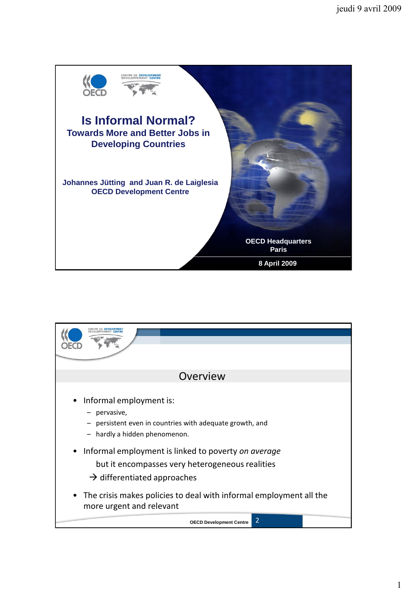

| Overview                                                                                                                                                       |  |  |  |  |  |  |  |
|----------------------------------------------------------------------------------------------------------------------------------------------------------------|--|--|--|--|--|--|--|
| • Informal employment is:<br>pervasive,<br>persistent even in countries with adequate growth, and<br>hardly a hidden phenomenon.                               |  |  |  |  |  |  |  |
| Informal employment is linked to poverty on average<br>$\bullet$<br>but it encompasses very heterogeneous realities<br>$\rightarrow$ differentiated approaches |  |  |  |  |  |  |  |
| • The crisis makes policies to deal with informal employment all the<br>more urgent and relevant                                                               |  |  |  |  |  |  |  |
| 2<br><b>OECD Development Centre</b>                                                                                                                            |  |  |  |  |  |  |  |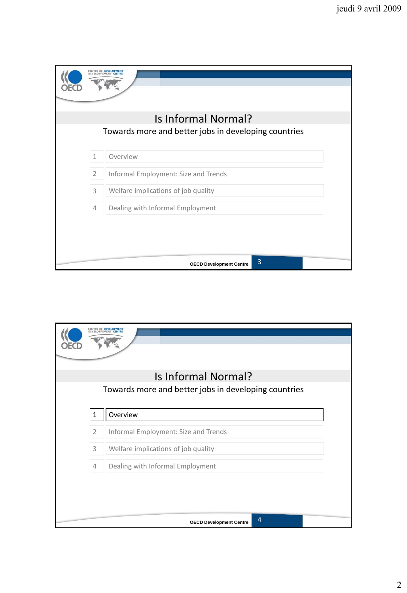|                                                      |                | <b><i>ENTRE DE DEVELOPMENT</i></b>   |  |  |  |  |
|------------------------------------------------------|----------------|--------------------------------------|--|--|--|--|
|                                                      |                | Is Informal Normal?                  |  |  |  |  |
| Towards more and better jobs in developing countries |                |                                      |  |  |  |  |
|                                                      | $\mathbf{1}$   | Overview                             |  |  |  |  |
|                                                      | $\overline{2}$ | Informal Employment: Size and Trends |  |  |  |  |
|                                                      | 3              | Welfare implications of job quality  |  |  |  |  |
|                                                      | $\overline{4}$ | Dealing with Informal Employment     |  |  |  |  |
|                                                      |                |                                      |  |  |  |  |
|                                                      |                |                                      |  |  |  |  |
|                                                      |                | 3<br><b>OECD Development Centre</b>  |  |  |  |  |

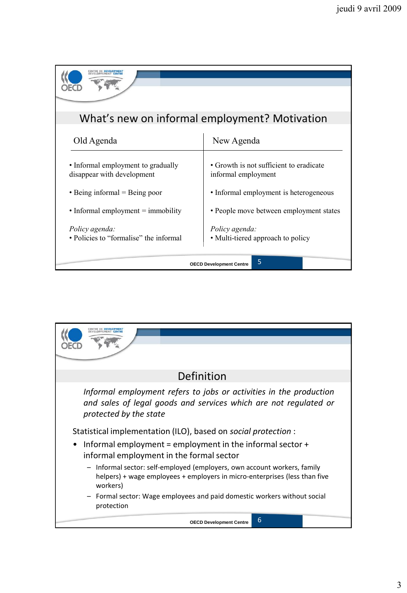| What's new on informal employment? Motivation                    |                                                                |  |  |  |  |  |
|------------------------------------------------------------------|----------------------------------------------------------------|--|--|--|--|--|
| Old Agenda                                                       | New Agenda                                                     |  |  |  |  |  |
| • Informal employment to gradually<br>disappear with development | • Growth is not sufficient to eradicate<br>informal employment |  |  |  |  |  |
| $\bullet$ Being informal = Being poor                            | • Informal employment is heterogeneous                         |  |  |  |  |  |
| • Informal employment $=$ immobility                             | • People move between employment states                        |  |  |  |  |  |
| Policy agenda:<br>• Policies to "formalise" the informal         | Policy agenda:<br>• Multi-tiered approach to policy            |  |  |  |  |  |
| 5<br><b>OECD Development Centre</b>                              |                                                                |  |  |  |  |  |

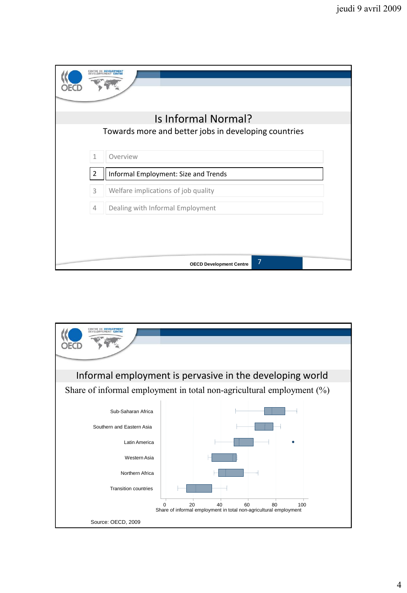|                                                      |                | <b><i>ENTRE DE DEVELOPMENT</i></b>               |  |  |  |  |
|------------------------------------------------------|----------------|--------------------------------------------------|--|--|--|--|
|                                                      |                | Is Informal Normal?                              |  |  |  |  |
| Towards more and better jobs in developing countries |                |                                                  |  |  |  |  |
|                                                      | $\mathbf{1}$   | Overview                                         |  |  |  |  |
|                                                      | 2              | Informal Employment: Size and Trends             |  |  |  |  |
|                                                      | 3              | Welfare implications of job quality              |  |  |  |  |
|                                                      | $\overline{4}$ | Dealing with Informal Employment                 |  |  |  |  |
|                                                      |                |                                                  |  |  |  |  |
|                                                      |                | $\overline{7}$<br><b>OECD Development Centre</b> |  |  |  |  |

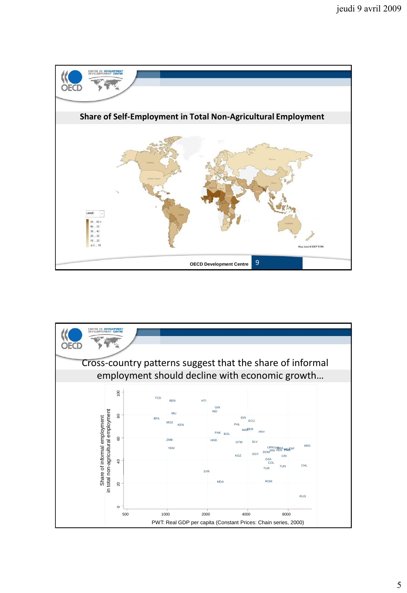

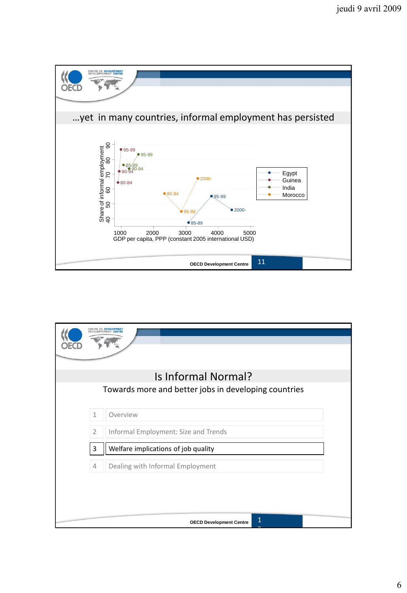

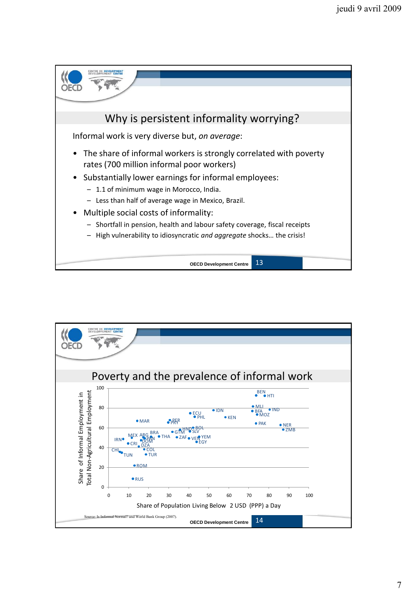

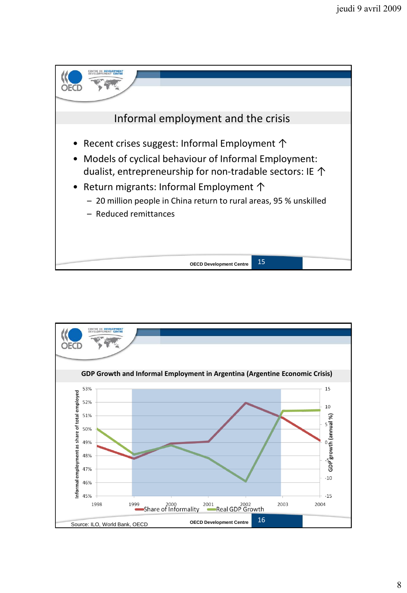

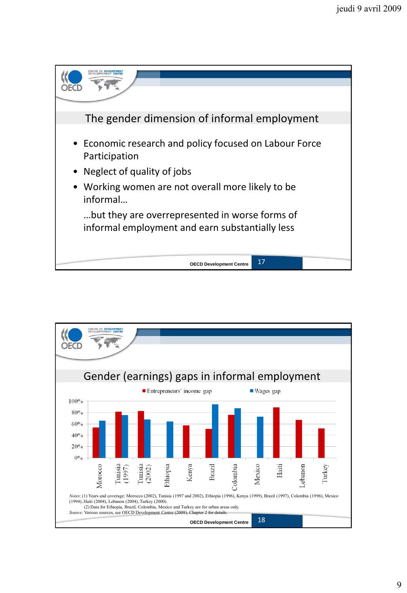

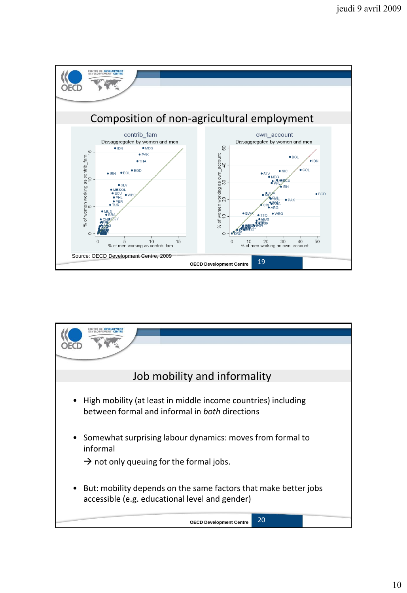

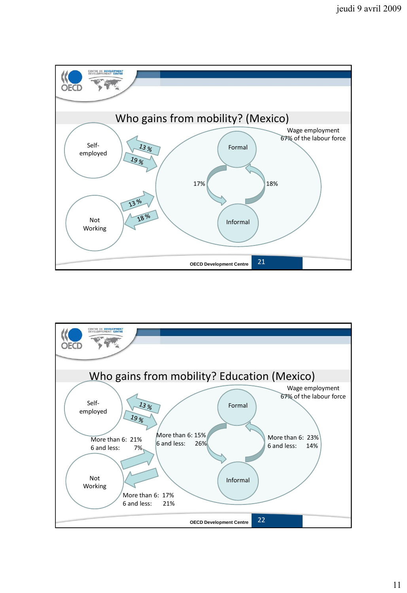

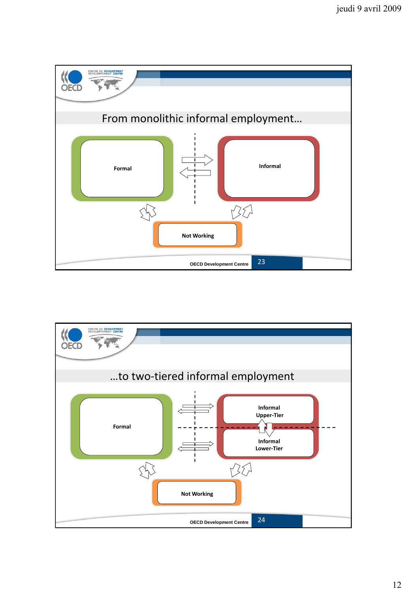

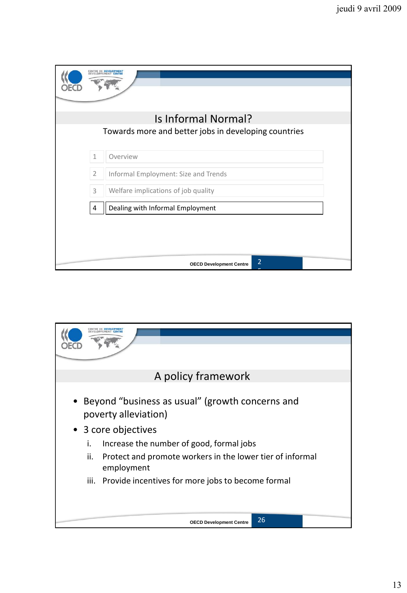|                                                      |                | CENTRE DE DEVELOPMENT<br><b><i>PPEMENT CENTE</i></b> |  |  |  |  |
|------------------------------------------------------|----------------|------------------------------------------------------|--|--|--|--|
|                                                      |                | Is Informal Normal?                                  |  |  |  |  |
| Towards more and better jobs in developing countries |                |                                                      |  |  |  |  |
|                                                      |                |                                                      |  |  |  |  |
|                                                      | $\mathbf{1}$   | Overview                                             |  |  |  |  |
|                                                      | $\overline{2}$ | Informal Employment: Size and Trends                 |  |  |  |  |
|                                                      | 3              | Welfare implications of job quality                  |  |  |  |  |
|                                                      | 4              | Dealing with Informal Employment                     |  |  |  |  |
|                                                      |                |                                                      |  |  |  |  |
|                                                      |                |                                                      |  |  |  |  |
|                                                      |                |                                                      |  |  |  |  |
|                                                      |                | $\overline{2}$<br><b>OECD Development Centre</b>     |  |  |  |  |

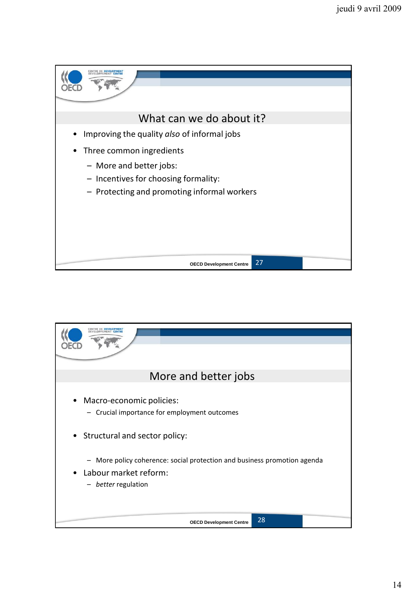

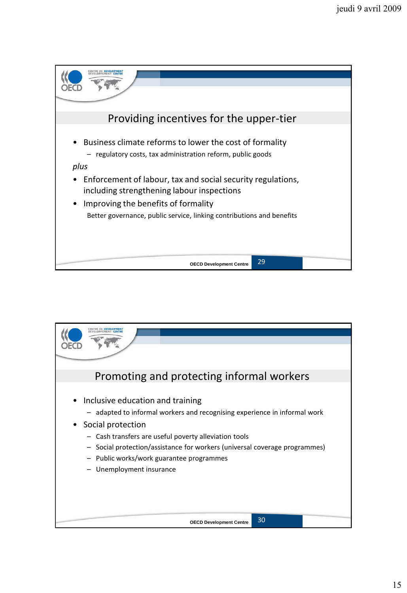

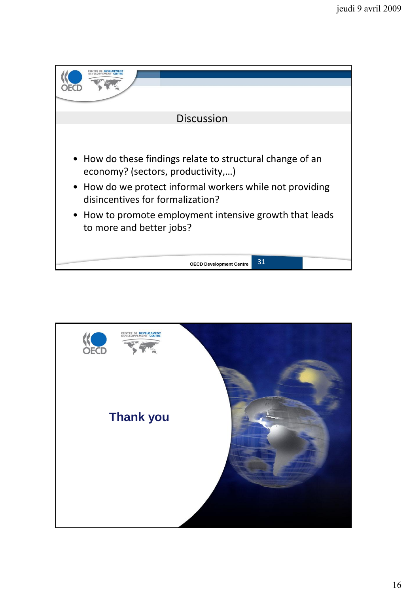

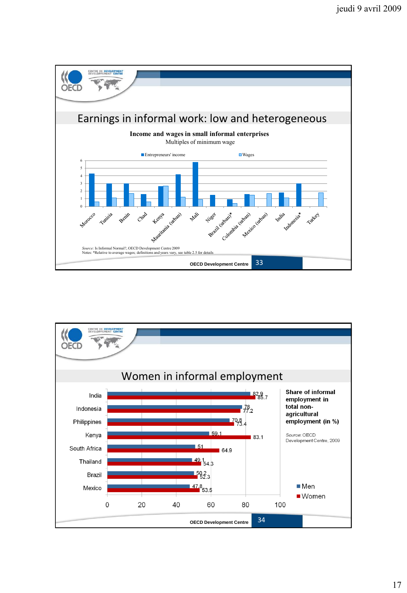